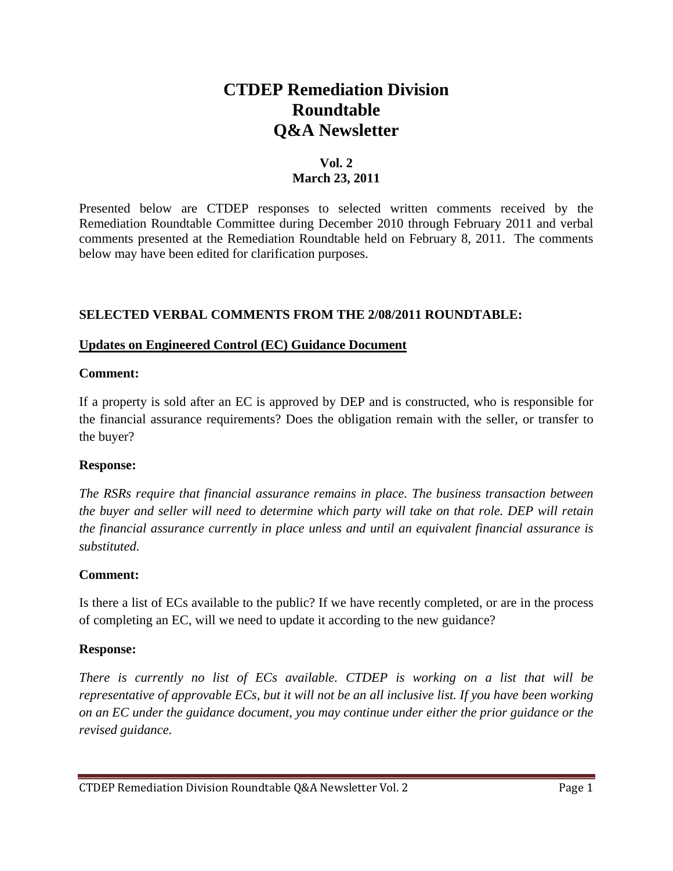# **CTDEP Remediation Division Roundtable Q&A Newsletter**

### **Vol. 2 March 23, 2011**

Presented below are CTDEP responses to selected written comments received by the Remediation Roundtable Committee during December 2010 through February 2011 and verbal comments presented at the Remediation Roundtable held on February 8, 2011. The comments below may have been edited for clarification purposes.

### **SELECTED VERBAL COMMENTS FROM THE 2/08/2011 ROUNDTABLE:**

#### **Updates on Engineered Control (EC) Guidance Document**

#### **Comment:**

If a property is sold after an EC is approved by DEP and is constructed, who is responsible for the financial assurance requirements? Does the obligation remain with the seller, or transfer to the buyer?

### **Response:**

*The RSRs require that financial assurance remains in place. The business transaction between the buyer and seller will need to determine which party will take on that role. DEP will retain the financial assurance currently in place unless and until an equivalent financial assurance is substituted.* 

### **Comment:**

Is there a list of ECs available to the public? If we have recently completed, or are in the process of completing an EC, will we need to update it according to the new guidance?

### **Response:**

*There is currently no list of ECs available. CTDEP is working on a list that will be representative of approvable ECs, but it will not be an all inclusive list. If you have been working on an EC under the guidance document, you may continue under either the prior guidance or the revised guidance.*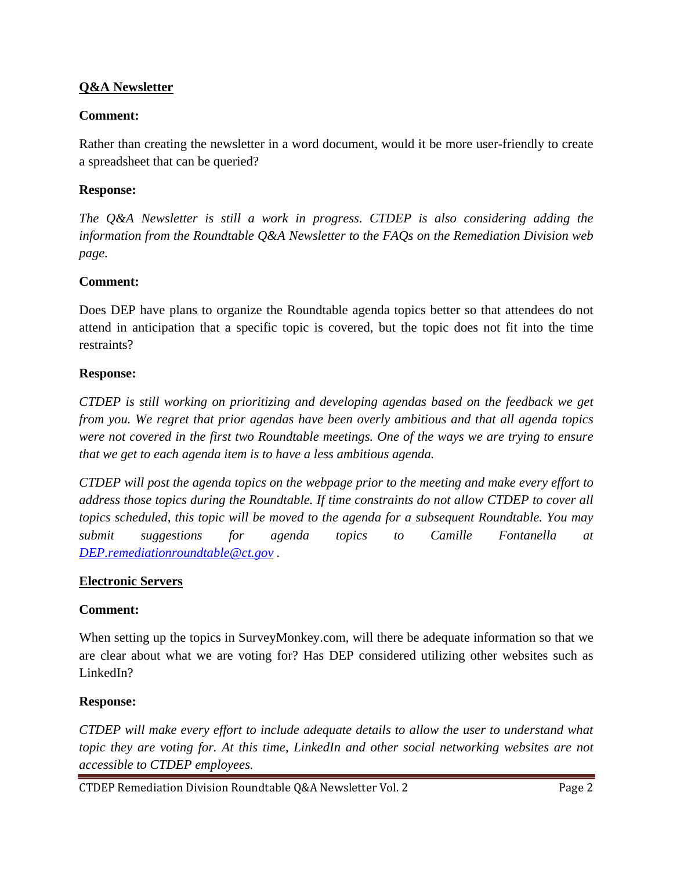### **Q&A Newsletter**

### **Comment:**

Rather than creating the newsletter in a word document, would it be more user-friendly to create a spreadsheet that can be queried?

### **Response:**

*The Q&A Newsletter is still a work in progress*. *CTDEP is also considering adding the information from the Roundtable Q&A Newsletter to the FAQs on the Remediation Division web page.* 

### **Comment:**

Does DEP have plans to organize the Roundtable agenda topics better so that attendees do not attend in anticipation that a specific topic is covered, but the topic does not fit into the time restraints?

### **Response:**

*CTDEP is still working on prioritizing and developing agendas based on the feedback we get from you. We regret that prior agendas have been overly ambitious and that all agenda topics were not covered in the first two Roundtable meetings. One of the ways we are trying to ensure that we get to each agenda item is to have a less ambitious agenda.* 

*CTDEP will post the agenda topics on the webpage prior to the meeting and make every effort to address those topics during the Roundtable. If time constraints do not allow CTDEP to cover all topics scheduled, this topic will be moved to the agenda for a subsequent Roundtable. You may submit suggestions for agenda topics to Camille Fontanella at DEP.remediationroundtable@ct.gov .* 

### **Electronic Servers**

### **Comment:**

When setting up the topics in SurveyMonkey.com, will there be adequate information so that we are clear about what we are voting for? Has DEP considered utilizing other websites such as LinkedIn?

### **Response:**

*CTDEP will make every effort to include adequate details to allow the user to understand what topic they are voting for. At this time, LinkedIn and other social networking websites are not accessible to CTDEP employees.* 

CTDEP Remediation Division Roundtable Q&A Newsletter Vol. 2 **Page 2** Page 2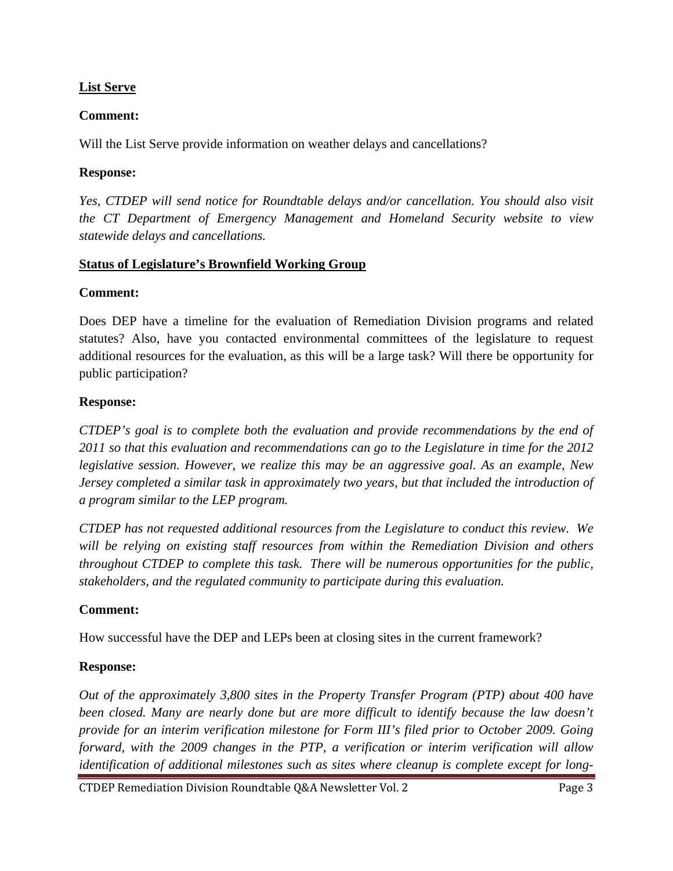### **List Serve**

### **Comment:**

Will the List Serve provide information on weather delays and cancellations?

### **Response:**

*Yes, CTDEP will send notice for Roundtable delays and/or cancellation. You should also visit the CT Department of Emergency Management and Homeland Security website to view statewide delays and cancellations.* 

### **Status of Legislature's Brownfield Working Group**

### **Comment:**

Does DEP have a timeline for the evaluation of Remediation Division programs and related statutes? Also, have you contacted environmental committees of the legislature to request additional resources for the evaluation, as this will be a large task? Will there be opportunity for public participation?

### **Response:**

*CTDEP's goal is to complete both the evaluation and provide recommendations by the end of 2011 so that this evaluation and recommendations can go to the Legislature in time for the 2012 legislative session. However, we realize this may be an aggressive goal. As an example, New Jersey completed a similar task in approximately two years, but that included the introduction of a program similar to the LEP program.* 

*CTDEP has not requested additional resources from the Legislature to conduct this review. We will be relying on existing staff resources from within the Remediation Division and others throughout CTDEP to complete this task. There will be numerous opportunities for the public, stakeholders, and the regulated community to participate during this evaluation.* 

# **Comment:**

How successful have the DEP and LEPs been at closing sites in the current framework?

# **Response:**

*Out of the approximately 3,800 sites in the Property Transfer Program (PTP) about 400 have been closed. Many are nearly done but are more difficult to identify because the law doesn't provide for an interim verification milestone for Form III's filed prior to October 2009. Going forward, with the 2009 changes in the PTP, a verification or interim verification will allow identification of additional milestones such as sites where cleanup is complete except for long-*

CTDEP Remediation Division Roundtable Q&A Newsletter Vol. 2 Page 3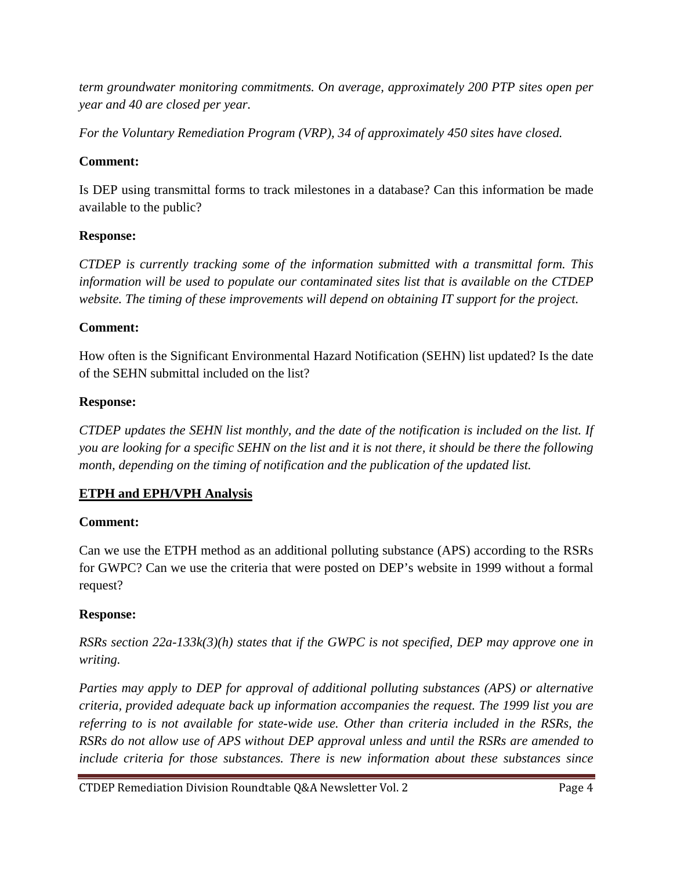*term groundwater monitoring commitments. On average, approximately 200 PTP sites open per year and 40 are closed per year.* 

*For the Voluntary Remediation Program (VRP), 34 of approximately 450 sites have closed.* 

# **Comment:**

Is DEP using transmittal forms to track milestones in a database? Can this information be made available to the public?

# **Response:**

*CTDEP is currently tracking some of the information submitted with a transmittal form. This information will be used to populate our contaminated sites list that is available on the CTDEP website. The timing of these improvements will depend on obtaining IT support for the project.* 

# **Comment:**

How often is the Significant Environmental Hazard Notification (SEHN) list updated? Is the date of the SEHN submittal included on the list?

# **Response:**

*CTDEP updates the SEHN list monthly, and the date of the notification is included on the list. If you are looking for a specific SEHN on the list and it is not there, it should be there the following month, depending on the timing of notification and the publication of the updated list.* 

# **ETPH and EPH/VPH Analysis**

# **Comment:**

Can we use the ETPH method as an additional polluting substance (APS) according to the RSRs for GWPC? Can we use the criteria that were posted on DEP's website in 1999 without a formal request?

# **Response:**

*RSRs section 22a-133k(3)(h) states that if the GWPC is not specified, DEP may approve one in writing.* 

*Parties may apply to DEP for approval of additional polluting substances (APS) or alternative criteria, provided adequate back up information accompanies the request. The 1999 list you are referring to is not available for state-wide use. Other than criteria included in the RSRs, the RSRs do not allow use of APS without DEP approval unless and until the RSRs are amended to include criteria for those substances. There is new information about these substances since*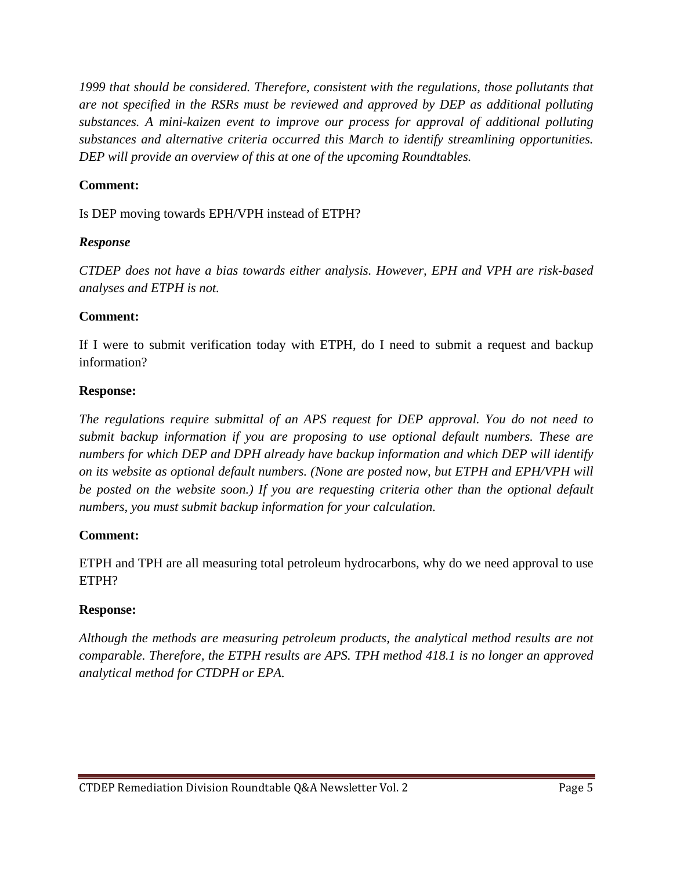*1999 that should be considered. Therefore, consistent with the regulations, those pollutants that are not specified in the RSRs must be reviewed and approved by DEP as additional polluting substances. A mini-kaizen event to improve our process for approval of additional polluting substances and alternative criteria occurred this March to identify streamlining opportunities. DEP will provide an overview of this at one of the upcoming Roundtables.* 

### **Comment:**

Is DEP moving towards EPH/VPH instead of ETPH?

### *Response*

*CTDEP does not have a bias towards either analysis. However, EPH and VPH are risk-based analyses and ETPH is not.* 

### **Comment:**

If I were to submit verification today with ETPH, do I need to submit a request and backup information?

### **Response:**

*The regulations require submittal of an APS request for DEP approval. You do not need to submit backup information if you are proposing to use optional default numbers. These are numbers for which DEP and DPH already have backup information and which DEP will identify on its website as optional default numbers. (None are posted now, but ETPH and EPH/VPH will be posted on the website soon.) If you are requesting criteria other than the optional default numbers, you must submit backup information for your calculation.* 

### **Comment:**

ETPH and TPH are all measuring total petroleum hydrocarbons, why do we need approval to use ETPH?

### **Response:**

*Although the methods are measuring petroleum products, the analytical method results are not comparable. Therefore, the ETPH results are APS. TPH method 418.1 is no longer an approved analytical method for CTDPH or EPA.*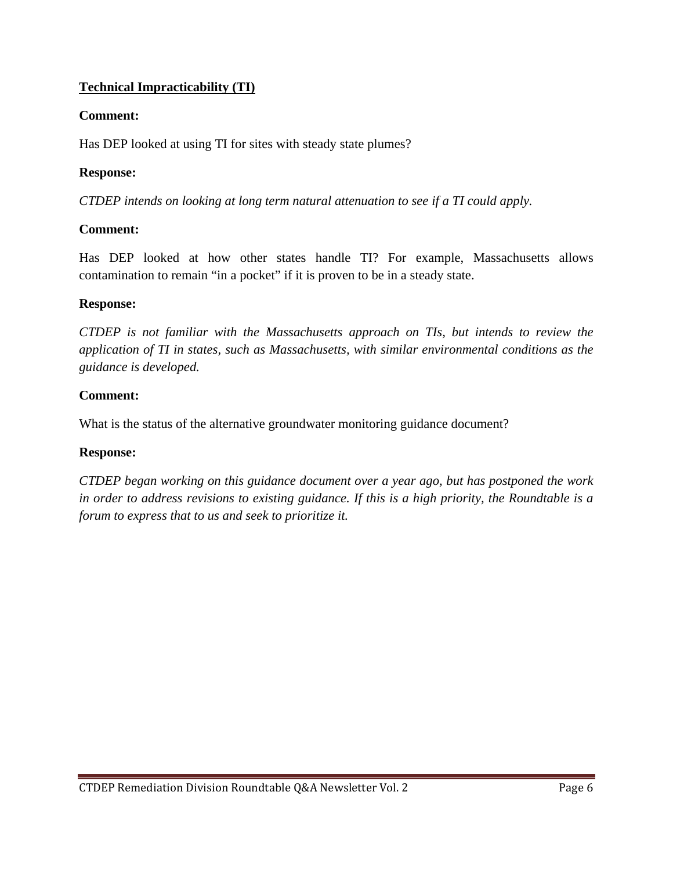### **Technical Impracticability (TI)**

### **Comment:**

Has DEP looked at using TI for sites with steady state plumes?

### **Response:**

*CTDEP intends on looking at long term natural attenuation to see if a TI could apply.* 

### **Comment:**

Has DEP looked at how other states handle TI? For example, Massachusetts allows contamination to remain "in a pocket" if it is proven to be in a steady state.

### **Response:**

*CTDEP is not familiar with the Massachusetts approach on TIs, but intends to review the application of TI in states, such as Massachusetts, with similar environmental conditions as the guidance is developed.* 

### **Comment:**

What is the status of the alternative groundwater monitoring guidance document?

### **Response:**

*CTDEP began working on this guidance document over a year ago, but has postponed the work in order to address revisions to existing guidance. If this is a high priority, the Roundtable is a forum to express that to us and seek to prioritize it.*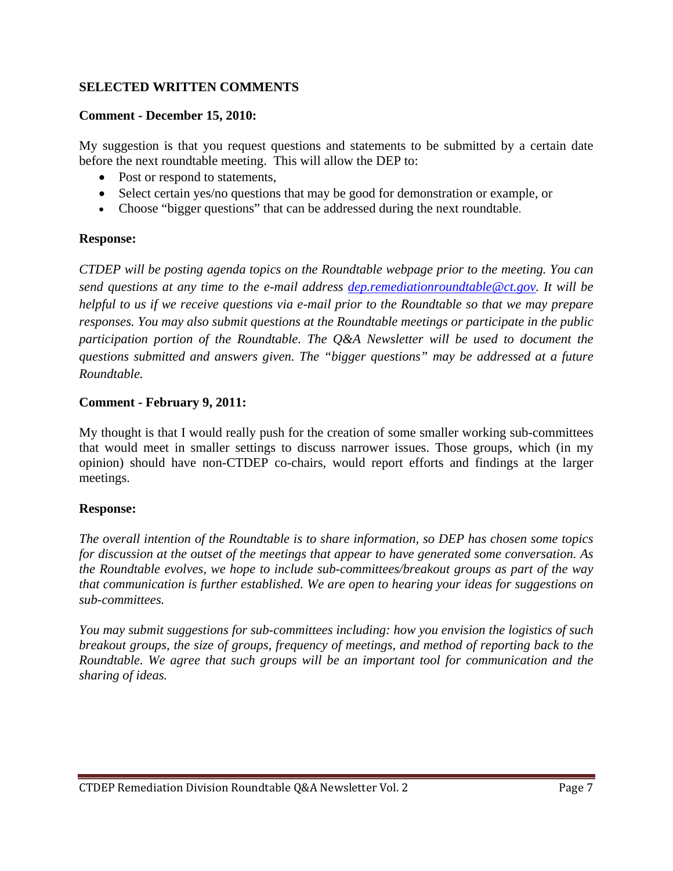### **SELECTED WRITTEN COMMENTS**

#### **Comment - December 15, 2010:**

My suggestion is that you request questions and statements to be submitted by a certain date before the next roundtable meeting. This will allow the DEP to:

- Post or respond to statements.
- Select certain yes/no questions that may be good for demonstration or example, or
- Choose "bigger questions" that can be addressed during the next roundtable.

### **Response:**

*CTDEP will be posting agenda topics on the Roundtable webpage prior to the meeting. You can send questions at any time to the e-mail address dep.remediationroundtable@ct.gov. It will be helpful to us if we receive questions via e-mail prior to the Roundtable so that we may prepare responses. You may also submit questions at the Roundtable meetings or participate in the public participation portion of the Roundtable. The Q&A Newsletter will be used to document the questions submitted and answers given. The "bigger questions" may be addressed at a future Roundtable.* 

#### **Comment - February 9, 2011:**

My thought is that I would really push for the creation of some smaller working sub-committees that would meet in smaller settings to discuss narrower issues. Those groups, which (in my opinion) should have non-CTDEP co-chairs, would report efforts and findings at the larger meetings.

### **Response:**

*The overall intention of the Roundtable is to share information, so DEP has chosen some topics for discussion at the outset of the meetings that appear to have generated some conversation. As the Roundtable evolves, we hope to include sub-committees/breakout groups as part of the way that communication is further established. We are open to hearing your ideas for suggestions on sub-committees.* 

*You may submit suggestions for sub-committees including: how you envision the logistics of such breakout groups, the size of groups, frequency of meetings, and method of reporting back to the Roundtable. We agree that such groups will be an important tool for communication and the sharing of ideas.*